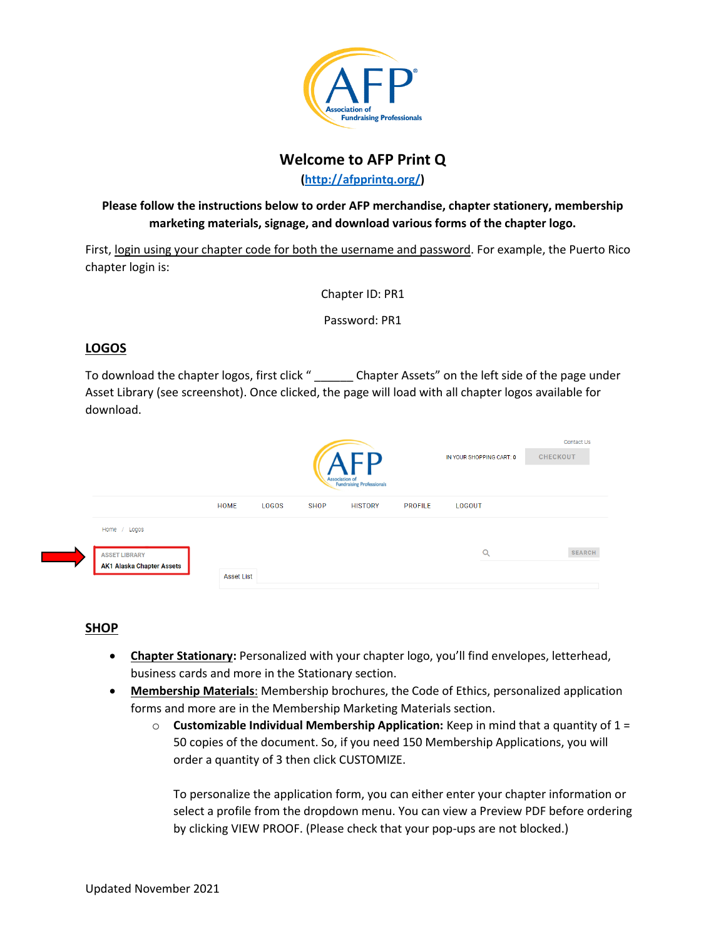

# **Welcome to AFP Print Q**

**[\(http://afpprintq.org/\)](http://afpprintq.org/)**

## **Please follow the instructions below to order AFP merchandise, chapter stationery, membership marketing materials, signage, and download various forms of the chapter logo.**

First, login using your chapter code for both the username and password. For example, the Puerto Rico chapter login is:

Chapter ID: PR1

Password: PR1

## **LOGOS**

To download the chapter logos, first click "
Chapter Assets" on the left side of the page under Asset Library (see screenshot). Once clicked, the page will load with all chapter logos available for download.

|                                                          | Association of<br>Fundraising Professionals |       |             |                |                | IN YOUR SHOPPING CART: 0 | Contact Us<br><b>CHECKOUT</b> |
|----------------------------------------------------------|---------------------------------------------|-------|-------------|----------------|----------------|--------------------------|-------------------------------|
|                                                          | HOME                                        | LOGOS | <b>SHOP</b> | <b>HISTORY</b> | <b>PROFILE</b> | LOGOUT                   |                               |
| Home / Logos                                             |                                             |       |             |                |                |                          |                               |
| <b>ASSET LIBRARY</b><br><b>AK1 Alaska Chapter Assets</b> | <b>Asset List</b>                           |       |             |                |                | $\alpha$                 | <b>SEARCH</b>                 |

#### **SHOP**

- **Chapter Stationary:** Personalized with your chapter logo, you'll find envelopes, letterhead, business cards and more in the Stationary section.
- **Membership Materials**: Membership brochures, the Code of Ethics, personalized application forms and more are in the Membership Marketing Materials section.
	- o **Customizable Individual Membership Application:** Keep in mind that a quantity of 1 = 50 copies of the document. So, if you need 150 Membership Applications, you will order a quantity of 3 then click CUSTOMIZE.

To personalize the application form, you can either enter your chapter information or select a profile from the dropdown menu. You can view a Preview PDF before ordering by clicking VIEW PROOF. (Please check that your pop-ups are not blocked.)